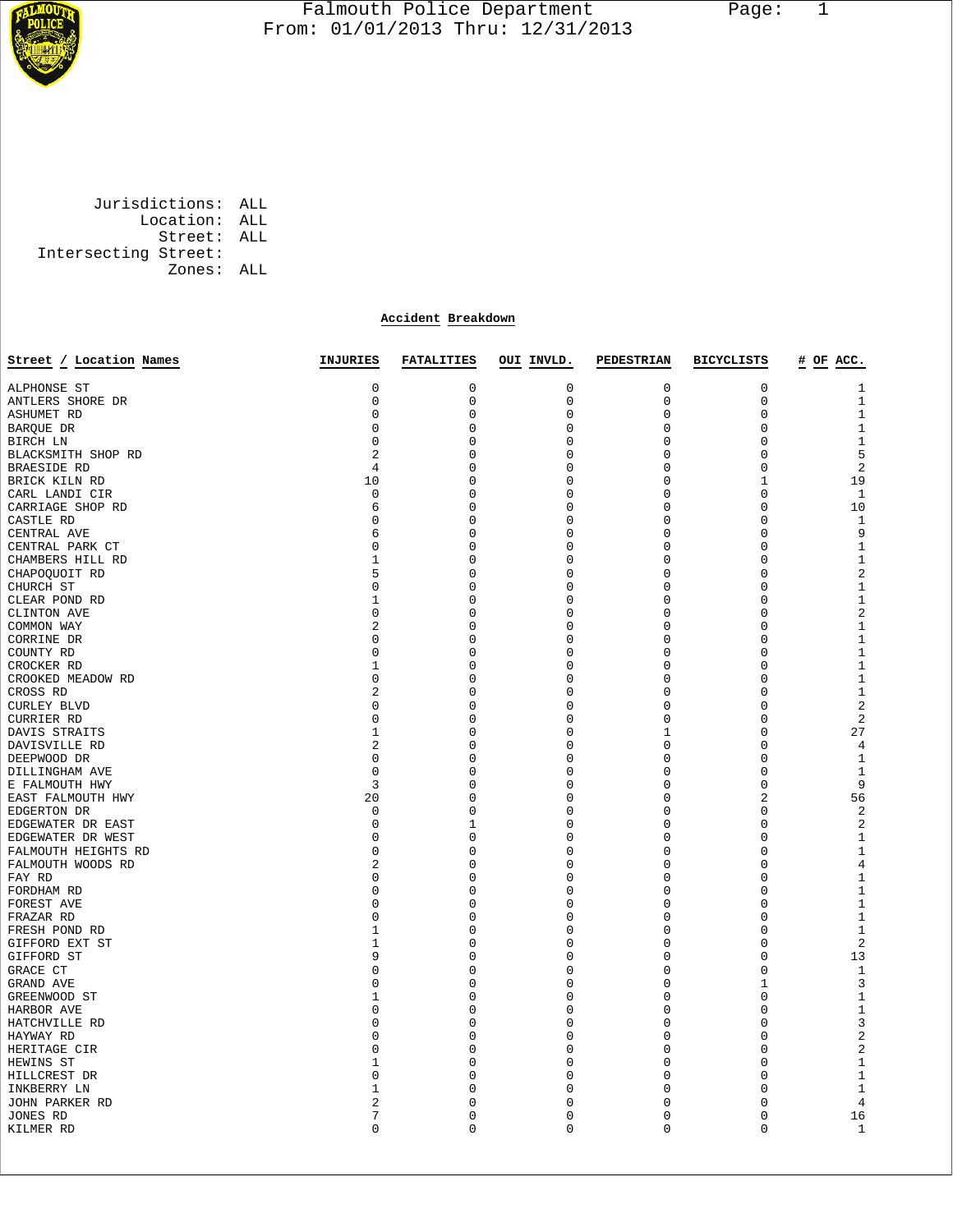

 Jurisdictions: ALL Location: ALL Street: ALL Intersecting Street: Zones: ALL

## **Accident Breakdown**

| Street / Location Names | INJURIES       | <b>FATALITIES</b> | OUI INVLD.       | PEDESTRIAN  | <b>BICYCLISTS</b> | # OF ACC.         |
|-------------------------|----------------|-------------------|------------------|-------------|-------------------|-------------------|
|                         | 0              |                   |                  |             |                   |                   |
| ALPHONSE ST             | $\mathbf 0$    | 0<br>$\mathbf 0$  | 0<br>$\mathbf 0$ | 0<br>0      | 0<br>$\mathbf 0$  | 1<br>$\mathbf{1}$ |
| ANTLERS SHORE DR        |                |                   |                  |             |                   |                   |
| <b>ASHUMET RD</b>       | $\mathbf 0$    | $\mathbf 0$       | $\mathbf 0$      | $\mathbf 0$ | $\mathsf 0$       | $\mathbf{1}$      |
| BARQUE DR               | $\mathbf 0$    | 0                 | 0                | 0           | $\mathsf 0$       | $\mathbf{1}$      |
| BIRCH LN                | $\mathbf 0$    | 0                 | 0                | 0           | $\mathbf 0$       | $\mathbf{1}$      |
| BLACKSMITH SHOP RD      | $\overline{a}$ | 0                 | 0                | $\mathbf 0$ | $\mathbf 0$       | 5                 |
| <b>BRAESIDE RD</b>      | 4              | 0                 | 0                | 0           | $\mathsf 0$       | $\sqrt{2}$        |
| BRICK KILN RD           | 10             | 0                 | 0                | 0           | 1                 | 19                |
| CARL LANDI CIR          | $\mathbf 0$    | 0                 | 0                | 0           | $\mathsf 0$       | $\mathbf{1}$      |
| CARRIAGE SHOP RD        | 6              | 0                 | 0                | 0           | $\mathsf 0$       | 10                |
| CASTLE RD               | $\mathbf 0$    | 0                 | 0                | 0           | 0                 | 1                 |
| CENTRAL AVE             | 6              | 0                 | 0                | $\mathbf 0$ | $\overline{0}$    | 9                 |
| CENTRAL PARK CT         | 0              | 0                 | 0                | 0           | $\mathsf 0$       | $\mathbf{1}$      |
| CHAMBERS HILL RD        | 1              | 0                 | 0                | 0           | 0                 | $1\,$             |
| CHAPOQUOIT RD           | 5              | 0                 | $\mathbf 0$      | $\mathbf 0$ | $\mathsf 0$       | $\overline{2}$    |
| CHURCH ST               | 0              | 0                 | 0                | 0           | $\mathsf 0$       | $\mathbf{1}$      |
| CLEAR POND RD           | 1              | 0                 | 0                | 0           | 0                 | $\mathbf{1}$      |
| CLINTON AVE             | $\mathbf 0$    | 0                 | $\mathbf 0$      | $\mathbf 0$ | $\mathbf 0$       | $\overline{c}$    |
| COMMON WAY              | 2              | 0                 | 0                | 0           | $\mathsf 0$       | $\mathbf{1}$      |
| CORRINE DR              | $\mathbf 0$    | 0                 | 0                | 0           | $\overline{0}$    | $1\,$             |
| COUNTY RD               | $\mathbf 0$    | 0                 | 0                | 0           | $\mathsf 0$       | $\mathbf{1}$      |
| CROCKER RD              | 1              | 0                 | 0                | 0           | $\mathsf 0$       | $\mathbf{1}$      |
| CROOKED MEADOW RD       | $\mathbf 0$    | 0                 | 0                | 0           | 0                 | $\mathbf{1}$      |
| CROSS RD                | $\overline{2}$ | 0                 | $\mathbf 0$      | $\mathbf 0$ | $\overline{0}$    | $1\,$             |
| <b>CURLEY BLVD</b>      | 0              | 0                 | 0                | 0           | $\mathsf 0$       | $\overline{c}$    |
| CURRIER RD              | $\mathbf 0$    | 0                 | 0                | 0           | 0                 | $\overline{2}$    |
| DAVIS STRAITS           | $\mathbf{1}$   | 0                 | $\mathbf 0$      | $\mathbf 1$ | $\mathsf 0$       | 27                |
| DAVISVILLE RD           | $\overline{a}$ | 0                 | 0                | 0           | $\mathsf 0$       | 4                 |
| DEEPWOOD DR             | 0              | 0                 | 0                | 0           | $\mathbf 0$       | $\mathbf{1}$      |
| DILLINGHAM AVE          | $\mathbf 0$    | 0                 | $\mathbf 0$      | $\mathbf 0$ | $\mathbf 0$       | $\mathbf{1}$      |
| E FALMOUTH HWY          | 3              | 0                 | 0                | 0           | $\mathsf 0$       | 9                 |
| EAST FALMOUTH HWY       | 20             | 0                 | 0                | 0           | $\overline{a}$    | 56                |
| EDGERTON DR             | $\mathbf 0$    | 0                 | 0                | 0           | $\mathsf 0$       | $\overline{2}$    |
| EDGEWATER DR EAST       | $\mathbf 0$    | 1                 | 0                | 0           | $\mathsf 0$       | $\overline{2}$    |
| EDGEWATER DR WEST       | $\mathbf 0$    | 0                 | 0                | 0           | 0                 | $\mathbf{1}$      |
| FALMOUTH HEIGHTS RD     | $\overline{0}$ | 0                 | 0                | $\mathbf 0$ | $\overline{0}$    | $1\,$             |
| FALMOUTH WOODS RD       | $\overline{a}$ | 0                 | 0                | 0           | $\mathsf 0$       | 4                 |
| FAY RD                  | 0              | 0                 | 0                | 0           | 0                 | $1\,$             |
| FORDHAM RD              | $\mathbf 0$    | 0                 | $\mathbf 0$      | $\mathbf 0$ | $\mathsf 0$       | $\mathbf{1}$      |
| FOREST AVE              | $\mathbf 0$    | 0                 | 0                | 0           | $\mathsf 0$       | $\mathbf{1}$      |
| FRAZAR RD               | $\mathbf 0$    | 0                 | 0                | 0           | 0                 | $\mathbf{1}$      |
| FRESH POND RD           | 1              | 0                 | $\mathbf 0$      | $\mathbf 0$ | $\mathbf 0$       | $\mathbf{1}$      |
| GIFFORD EXT ST          | 1              | 0                 | 0                | 0           | $\mathsf 0$       | $\overline{2}$    |
| GIFFORD ST              | 9              | 0                 | 0                | 0           | $\overline{0}$    | 13                |
| GRACE CT                | $\mathbf 0$    | 0                 | 0                | 0           | $\mathsf 0$       | $\mathbf{1}$      |
| GRAND AVE               | $\mathbf 0$    | 0                 | 0                | 0           | $\mathbf{1}$      | 3                 |
| GREENWOOD ST            | 1              | 0                 | 0                | 0           | 0                 | $\mathbf{1}$      |
| HARBOR AVE              | $\mathbf 0$    | 0                 | 0                | $\mathbf 0$ | $\overline{0}$    | $1\,$             |
| HATCHVILLE RD           | $\mathbf 0$    | 0                 | 0                | 0           | $\mathsf 0$       | 3                 |
| HAYWAY RD               | $\mathbf 0$    | 0                 | 0                | 0           | 0                 | $\overline{c}$    |
| HERITAGE CIR            | $\mathbf 0$    | 0                 | 0                | $\mathbf 0$ | $\mathsf 0$       | $\overline{c}$    |
| HEWINS ST               | 1              | 0                 | 0                | 0           | $\mathsf 0$       | $\mathbf{1}$      |
| HILLCREST DR            | 0              | 0                 | 0                | 0           | 0                 | $\mathbf{1}$      |
| INKBERRY LN             | 1              | 0                 | $\mathbf 0$      | $\mathbf 0$ | $\mathbf 0$       | $\mathbf{1}$      |
| JOHN PARKER RD          | 2              | 0                 | 0                | 0           | 0                 | 4                 |
| JONES RD                | 7              | 0                 | 0                | 0           | $\overline{0}$    | 16                |
| KILMER RD               | $\mathbf 0$    | 0                 | $\mathbf 0$      | $\mathbf 0$ | $\mathbf 0$       | $\mathbf{1}$      |
|                         |                |                   |                  |             |                   |                   |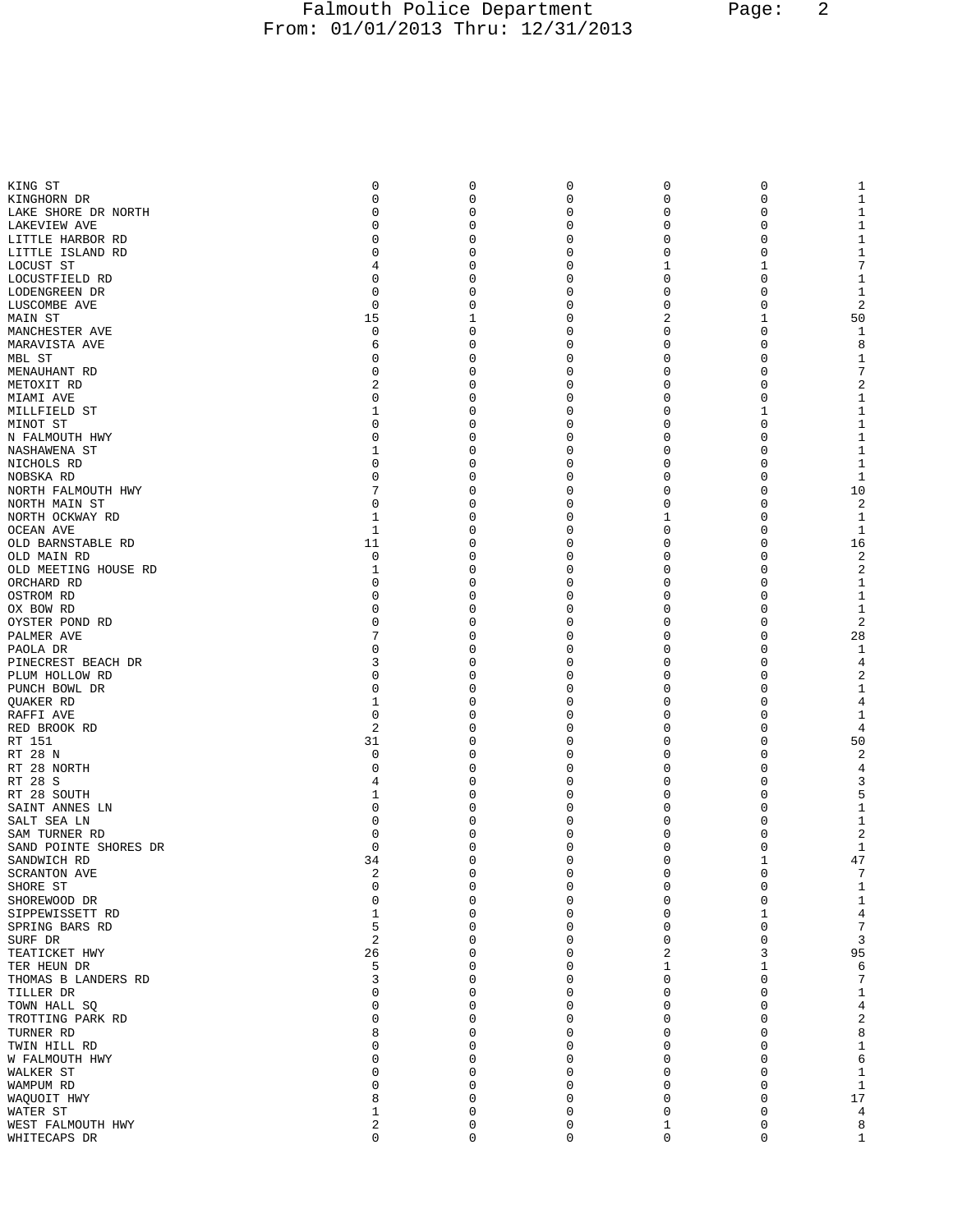## Falmouth Police Department Page: 2 From: 01/01/2013 Thru: 12/31/2013

| KING ST                            | 0       | 0                          | 0                          | 0        | 0            |                     |
|------------------------------------|---------|----------------------------|----------------------------|----------|--------------|---------------------|
| KINGHORN DR                        | 0       | 0                          | 0                          | 0        | 0            | 1                   |
| LAKE SHORE DR NORTH                | 0       | 0                          | 0                          | 0        | 0            | 1                   |
| LAKEVIEW AVE                       | U       | $\mathbf 0$                | 0                          | 0        | 0            | 1                   |
| LITTLE HARBOR RD                   | 0       | 0                          | 0                          | 0        | 0            | 1                   |
| LITTLE ISLAND RD                   | 0       | 0                          | 0                          | 0        | 0            | 1                   |
| LOCUST ST                          | 4       | 0                          | 0                          | 1        | 1            | 7                   |
| LOCUSTFIELD RD                     | 0       | 0                          | 0                          | 0        | 0            | 1                   |
| LODENGREEN DR                      | 0       | 0                          | 0                          | 0        | 0            | 1                   |
| LUSCOMBE AVE                       | 0       | 0                          | 0                          | 0        | 0            | 2                   |
| MAIN ST                            | 15      | 1                          | 0                          | 2        | 1            | 50                  |
| MANCHESTER AVE                     | 0       | 0                          | 0                          | 0        | 0            | 1                   |
| MARAVISTA AVE                      | 6       | 0                          | 0                          | 0        | 0            | 8                   |
| MBL ST                             | 0       | $\Omega$                   | 0                          | 0        | 0            | 1                   |
| MENAUHANT RD                       | 0       | 0                          | 0                          | 0        | 0            | 7                   |
| METOXIT RD                         | 2       | 0                          | 0                          | 0        | 0            | 2                   |
| MIAMI AVE                          | 0       | 0                          | 0                          | 0        | 0            | 1                   |
| MILLFIELD ST                       | 1       | 0                          | 0                          | 0        | 1            | 1                   |
| MINOT ST                           | 0       | 0                          | 0                          | 0        | 0            | 1                   |
| N FALMOUTH HWY                     | 0       | 0                          | 0                          | 0        | 0            | 1                   |
| NASHAWENA ST                       | 1       | 0                          | 0                          | 0        | 0            | 1                   |
| NICHOLS RD                         | 0       | 0                          | 0                          | 0        | 0            | $\mathbf{1}$        |
| NOBSKA RD                          | 0       | 0                          | 0                          | 0        | 0            | 1                   |
| NORTH FALMOUTH HWY                 | 0       | 0<br>$\Omega$              | 0                          | 0        | 0            | 10                  |
| NORTH MAIN ST                      |         |                            | 0                          | 0        | 0            | 2                   |
| NORTH OCKWAY RD                    | 1       | 0                          | 0                          | 1        | 0            | 1                   |
| OCEAN AVE<br>OLD BARNSTABLE RD     | 1<br>11 | 0<br>0                     | 0<br>0                     | 0<br>0   | 0<br>0       | 1<br>16             |
| OLD MAIN RD                        | 0       | 0                          | 0                          | 0        | 0            | 2                   |
|                                    | 1       | 0                          | 0                          | 0        | 0            | $\overline{2}$      |
| OLD MEETING HOUSE RD<br>ORCHARD RD | 0       | 0                          | 0                          | 0        | 0            | 1                   |
| OSTROM RD                          | 0       | $\Omega$                   | 0                          | 0        | 0            | 1                   |
| OX BOW RD                          | 0       | 0                          | 0                          | 0        | 0            | 1                   |
| OYSTER POND RD                     | 0       | 0                          | 0                          | 0        | 0            | 2                   |
| PALMER AVE                         |         | 0                          | 0                          | 0        | 0            | 28                  |
| PAOLA DR                           | 0       | 0                          | 0                          | 0        | 0            | 1                   |
| PINECREST BEACH DR                 | 3       | $\Omega$                   | 0                          | 0        | 0            | 4                   |
| PLUM HOLLOW RD                     | 0       | $\Omega$                   | 0                          | 0        | 0            | 2                   |
| PUNCH BOWL DR                      | 0       | 0                          | 0                          | 0        | 0            | 1                   |
| QUAKER RD                          | 1       | 0                          | 0                          | 0        | 0            | 4                   |
| RAFFI AVE                          | 0       | $\Omega$                   | 0                          | 0        | 0            | 1                   |
| RED BROOK RD                       | 2       | 0                          | 0                          | 0        | 0            | 4                   |
| RT 151                             | 31      | 0                          | 0                          | 0        | 0            | 50                  |
| RT 28 N                            | 0       | $\Omega$                   | 0                          | 0        | 0            | 2                   |
| RT 28 NORTH                        | 0       | 0                          | 0                          | 0        | 0            | 4                   |
| RT 28 S                            | 4       | 0                          | 0                          | 0        | 0            | 3                   |
| RT 28 SOUTH                        | 1       | 0                          | 0                          | 0        | 0            | 5                   |
| SAINT ANNES LN                     | 0       | 0                          | 0                          | 0        | 0            | 1                   |
| SALT SEA LN                        | 0       | $\Omega$                   | 0                          | 0        | 0            | 1                   |
| SAM TURNER RD                      | 0       | 0                          | 0                          | 0        | 0            | $\overline{2}$      |
| SAND POINTE SHORES DR              | 0       | 0                          | 0                          | 0        | 0            | 1                   |
| SANDWICH RD                        | 34      | $\Omega$                   | $\Omega$                   | $\Omega$ | $\mathbf{1}$ | 47                  |
| <b>SCRANTON AVE</b>                | 2       | 0                          | 0                          | 0        | $\mathbf 0$  | 7                   |
| SHORE ST                           | 0       | 0                          | 0                          | 0        | 0            | 1                   |
| SHOREWOOD DR                       | 0       | $\mathbf{0}$               | $\mathbf 0$                | 0        | 0            | 1<br>$\overline{4}$ |
| SIPPEWISSETT RD                    | 1<br>5  | $\mathbf 0$<br>$\mathbf 0$ | $\mathbf 0$<br>$\mathbf 0$ | 0<br>0   | 1<br>0       | 7                   |
| SPRING BARS RD<br>SURF DR          | 2       | $\mathbf 0$                | $\mathbf 0$                | 0        | 0            | 3                   |
| TEATICKET HWY                      | 26      | $\mathbf 0$                | $\mathbf 0$                | 2        | 3            | 95                  |
| TER HEUN DR                        | 5       | 0                          | $\mathbf 0$                | 1        | 1            | 6                   |
| THOMAS B LANDERS RD                | 3       | $\mathbf 0$                | $\mathbf 0$                | 0        | $\mathbf 0$  | 7                   |
| TILLER DR                          | 0       | 0                          | $\mathbf 0$                | 0        | 0            | 1                   |
| TOWN HALL SQ                       | 0       | $\mathbf 0$                | $\mathbf 0$                | 0        | 0            | $\overline{4}$      |
| TROTTING PARK RD                   | U       | $\mathbf 0$                | $\mathbf 0$                | 0        | 0            | 2                   |
| TURNER RD                          | 8       | 0                          | $\mathbf 0$                | 0        | 0            | 8                   |
| TWIN HILL RD                       | U       | $\mathbf 0$                | $\mathbf 0$                | 0        | 0            | 1                   |
| W FALMOUTH HWY                     | U       | 0                          | $\mathbf 0$                | 0        | 0            | 6                   |
| WALKER ST                          | U       | 0                          | $\mathbf 0$                | 0        | 0            | 1                   |
| WAMPUM RD                          | U       | $\Omega$                   | 0                          | 0        | 0            | 1                   |
| WAQUOIT HWY                        | 8       | $\mathbf 0$                | $\mathbf 0$                | 0        | 0            | 17                  |
| WATER ST                           | 1       | $\mathbf 0$                | $\mathbf 0$                | 0        | 0            | 4                   |
| WEST FALMOUTH HWY                  | 2       | 0                          | 0                          | 1        | 0            | 8                   |
| WHITECAPS DR                       | 0       | $\mathbf{0}$               | $\mathbf 0$                | 0        | 0            | 1                   |